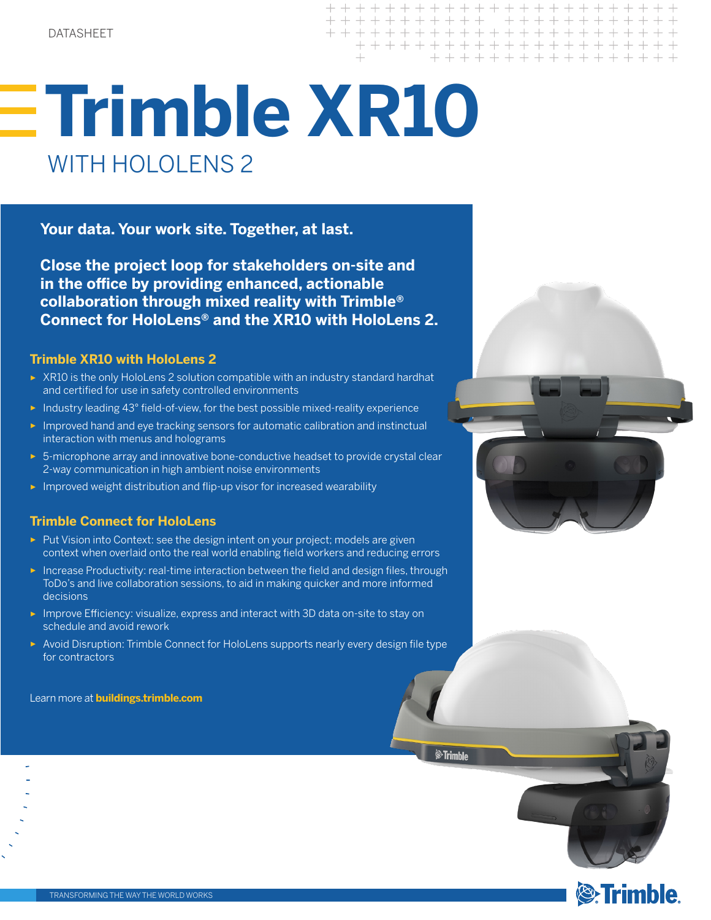+ + + + + + + + + + + + + + + + + + + + + + + + + + + + + + + + + + + + + + + + + + + + + + + + + + + +

# **Trimble XR10** WITH HOLOLENS 2

**Your data. Your work site. Together, at last.** 

**Close the project loop for stakeholders on-site and in the office by providing enhanced, actionable collaboration through mixed reality with Trimble® Connect for HoloLens® and the XR10 with HoloLens 2.**

## **Trimble XR10 with HoloLens 2**

- ► XR10 is the only HoloLens 2 solution compatible with an industry standard hardhat and certified for use in safety controlled environments
- ► Industry leading 43° field-of-view, for the best possible mixed-reality experience
- ► Improved hand and eye tracking sensors for automatic calibration and instinctual interaction with menus and holograms
- ► 5-microphone array and innovative bone-conductive headset to provide crystal clear 2-way communication in high ambient noise environments
- ► Improved weight distribution and flip-up visor for increased wearability

## **Trimble Connect for HoloLens**

- ► Put Vision into Context: see the design intent on your project; models are given context when overlaid onto the real world enabling field workers and reducing errors
- ► Increase Productivity: real-time interaction between the field and design files, through ToDo's and live collaboration sessions, to aid in making quicker and more informed decisions
- ► Improve Efficiency: visualize, express and interact with 3D data on-site to stay on schedule and avoid rework
- ► Avoid Disruption: Trimble Connect for HoloLens supports nearly every design file type for contractors

Learn more at **buildings.trimble.com**



.<br>⊗Trimble